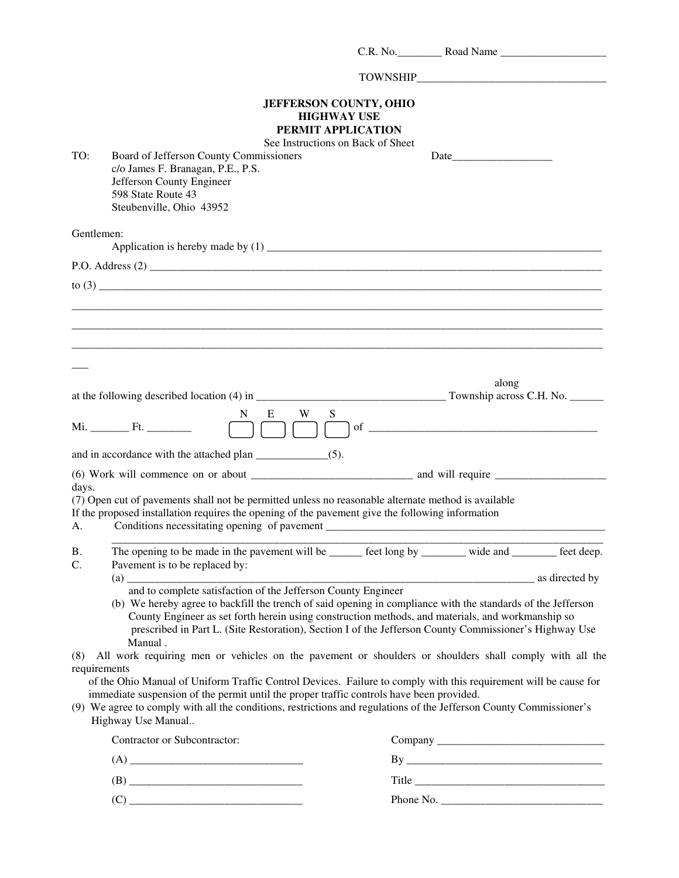|                |                                                                                                                                                                                                                                                                                                                                                              |                                                                                                                | C.R. No. Road Name                                                                                                                                                                                                                                                                                                          |
|----------------|--------------------------------------------------------------------------------------------------------------------------------------------------------------------------------------------------------------------------------------------------------------------------------------------------------------------------------------------------------------|----------------------------------------------------------------------------------------------------------------|-----------------------------------------------------------------------------------------------------------------------------------------------------------------------------------------------------------------------------------------------------------------------------------------------------------------------------|
|                |                                                                                                                                                                                                                                                                                                                                                              |                                                                                                                |                                                                                                                                                                                                                                                                                                                             |
| TO:            | Board of Jefferson County Commissioners<br>c/o James F. Branagan, P.E., P.S.<br>Jefferson County Engineer<br>598 State Route 43<br>Steubenville, Ohio 43952                                                                                                                                                                                                  | <b>JEFFERSON COUNTY, OHIO</b><br><b>HIGHWAY USE</b><br>PERMIT APPLICATION<br>See Instructions on Back of Sheet |                                                                                                                                                                                                                                                                                                                             |
| Gentlemen:     |                                                                                                                                                                                                                                                                                                                                                              |                                                                                                                |                                                                                                                                                                                                                                                                                                                             |
|                |                                                                                                                                                                                                                                                                                                                                                              |                                                                                                                |                                                                                                                                                                                                                                                                                                                             |
|                |                                                                                                                                                                                                                                                                                                                                                              |                                                                                                                |                                                                                                                                                                                                                                                                                                                             |
|                |                                                                                                                                                                                                                                                                                                                                                              |                                                                                                                |                                                                                                                                                                                                                                                                                                                             |
|                |                                                                                                                                                                                                                                                                                                                                                              |                                                                                                                |                                                                                                                                                                                                                                                                                                                             |
|                |                                                                                                                                                                                                                                                                                                                                                              |                                                                                                                |                                                                                                                                                                                                                                                                                                                             |
|                |                                                                                                                                                                                                                                                                                                                                                              |                                                                                                                |                                                                                                                                                                                                                                                                                                                             |
|                |                                                                                                                                                                                                                                                                                                                                                              |                                                                                                                |                                                                                                                                                                                                                                                                                                                             |
|                |                                                                                                                                                                                                                                                                                                                                                              |                                                                                                                | along                                                                                                                                                                                                                                                                                                                       |
|                | N.                                                                                                                                                                                                                                                                                                                                                           | E<br>W<br>S                                                                                                    |                                                                                                                                                                                                                                                                                                                             |
|                |                                                                                                                                                                                                                                                                                                                                                              |                                                                                                                |                                                                                                                                                                                                                                                                                                                             |
|                |                                                                                                                                                                                                                                                                                                                                                              |                                                                                                                |                                                                                                                                                                                                                                                                                                                             |
|                |                                                                                                                                                                                                                                                                                                                                                              |                                                                                                                |                                                                                                                                                                                                                                                                                                                             |
|                |                                                                                                                                                                                                                                                                                                                                                              |                                                                                                                |                                                                                                                                                                                                                                                                                                                             |
| days.<br>А.    | (7) Open cut of pavements shall not be permitted unless no reasonable alternate method is available<br>If the proposed installation requires the opening of the pavement give the following information                                                                                                                                                      | Conditions necessitating opening of pavement                                                                   |                                                                                                                                                                                                                                                                                                                             |
| <b>B.</b>      |                                                                                                                                                                                                                                                                                                                                                              |                                                                                                                | The opening to be made in the pavement will be ______ feet long by _______ wide and _______ feet deep.                                                                                                                                                                                                                      |
| $\mathbf{C}$ . | Pavement is to be replaced by:                                                                                                                                                                                                                                                                                                                               |                                                                                                                |                                                                                                                                                                                                                                                                                                                             |
|                |                                                                                                                                                                                                                                                                                                                                                              | and to complete satisfaction of the Jefferson County Engineer                                                  | as directed by                                                                                                                                                                                                                                                                                                              |
|                | Manual.                                                                                                                                                                                                                                                                                                                                                      |                                                                                                                | (b) We hereby agree to backfill the trench of said opening in compliance with the standards of the Jefferson<br>County Engineer as set forth herein using construction methods, and materials, and workmanship so<br>prescribed in Part L. (Site Restoration), Section I of the Jefferson County Commissioner's Highway Use |
|                |                                                                                                                                                                                                                                                                                                                                                              |                                                                                                                | (8) All work requiring men or vehicles on the pavement or shoulders or shoulders shall comply with all the                                                                                                                                                                                                                  |
|                | requirements<br>immediate suspension of the permit until the proper traffic controls have been provided.<br>Highway Use Manual                                                                                                                                                                                                                               |                                                                                                                | of the Ohio Manual of Uniform Traffic Control Devices. Failure to comply with this requirement will be cause for<br>(9) We agree to comply with all the conditions, restrictions and regulations of the Jefferson County Commissioner's                                                                                     |
|                | Contractor or Subcontractor:                                                                                                                                                                                                                                                                                                                                 |                                                                                                                |                                                                                                                                                                                                                                                                                                                             |
|                |                                                                                                                                                                                                                                                                                                                                                              |                                                                                                                |                                                                                                                                                                                                                                                                                                                             |
|                |                                                                                                                                                                                                                                                                                                                                                              |                                                                                                                |                                                                                                                                                                                                                                                                                                                             |
|                | $(C) \begin{tabular}{ c c c } \hline \rule{0.3cm}{.01cm} & \rule{0.3cm}{.01cm} \rule{0.3cm}{.01cm} \rule{0.3cm}{.01cm} \rule{0.3cm}{.01cm} \rule{0.3cm}{.01cm} \rule{0.3cm}{.01cm} \rule{0.3cm}{.01cm} \rule{0.3cm}{.01cm} \rule{0.3cm}{.01cm} \rule{0.3cm}{.01cm} \rule{0.3cm}{.01cm} \rule{0.3cm}{.01cm} \rule{0.3cm}{.01cm} \rule{0.3cm}{.01cm} \rule{0.$ |                                                                                                                | Phone No. $\frac{1}{2}$ Phone No.                                                                                                                                                                                                                                                                                           |
|                |                                                                                                                                                                                                                                                                                                                                                              |                                                                                                                |                                                                                                                                                                                                                                                                                                                             |